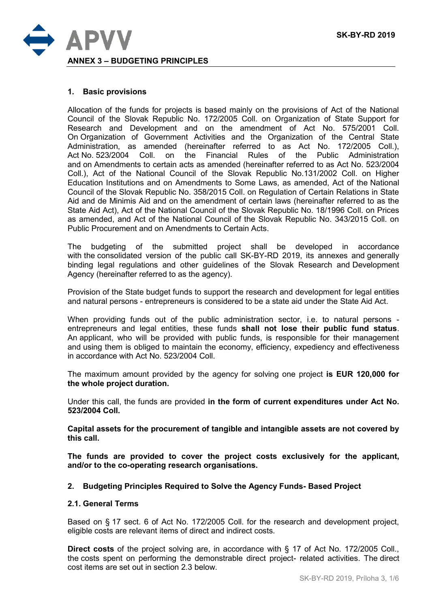

#### **1. Basic provisions**

Allocation of the funds for projects is based mainly on the provisions of Act of the National Council of the Slovak Republic No. 172/2005 Coll. on Organization of State Support for Research and Development and on the amendment of Act No. 575/2001 Coll. On Organization of Government Activities and the Organization of the Central State Administration, as amended (hereinafter referred to as Act No. 172/2005 Coll.), Act No. 523/2004 Coll. on the Financial Rules of the Public Administration and on Amendments to certain acts as amended (hereinafter referred to as Act No. 523/2004 Coll.), Act of the National Council of the Slovak Republic No.131/2002 Coll. on Higher Education Institutions and on Amendments to Some Laws, as amended, Act of the National Council of the Slovak Republic No. 358/2015 Coll. on Regulation of Certain Relations in State Aid and de Minimis Aid and on the amendment of certain laws (hereinafter referred to as the State Aid Act), Act of the National Council of the Slovak Republic No. 18/1996 Coll. on Prices as amended, and Act of the National Council of the Slovak Republic No. 343/2015 Coll. on Public Procurement and on Amendments to Certain Acts.

The budgeting of the submitted project shall be developed in accordance with the consolidated version of the public call SK-BY-RD 2019, its annexes and generally binding legal regulations and other guidelines of the Slovak Research and Development Agency (hereinafter referred to as the agency).

Provision of the State budget funds to support the research and development for legal entities and natural persons - entrepreneurs is considered to be a state aid under the State Aid Act.

When providing funds out of the public administration sector, i.e. to natural persons entrepreneurs and legal entities, these funds **shall not lose their public fund status**. An applicant, who will be provided with public funds, is responsible for their management and using them is obliged to maintain the economy, efficiency, expediency and effectiveness in accordance with Act No. 523/2004 Coll.

The maximum amount provided by the agency for solving one project **is EUR 120,000 for the whole project duration.**

Under this call, the funds are provided **in the form of current expenditures under Act No. 523/2004 Coll.**

**Capital assets for the procurement of tangible and intangible assets are not covered by this call.**

**The funds are provided to cover the project costs exclusively for the applicant, and/or to the co-operating research organisations.**

#### **2. Budgeting Principles Required to Solve the Agency Funds- Based Project**

#### **2.1. General Terms**

Based on § 17 sect. 6 of Act No. 172/2005 Coll. for the research and development project, eligible costs are relevant items of direct and indirect costs.

**Direct costs** of the project solving are, in accordance with § 17 of Act No. 172/2005 Coll., the costs spent on performing the demonstrable direct project- related activities. The direct cost items are set out in section 2.3 below.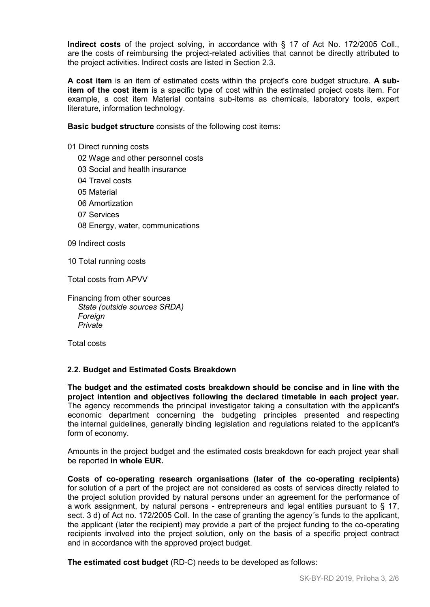**Indirect costs** of the project solving, in accordance with § 17 of Act No. 172/2005 Coll., are the costs of reimbursing the project-related activities that cannot be directly attributed to the project activities. Indirect costs are listed in Section 2.3.

**A cost item** is an item of estimated costs within the project's core budget structure. **A subitem of the cost item** is a specific type of cost within the estimated project costs item. For example, a cost item Material contains sub-items as chemicals, laboratory tools, expert literature, information technology.

**Basic budget structure** consists of the following cost items:

- 01 Direct running costs
	- 02 Wage and other personnel costs
	- 03 Social and health insurance
	- 04 Travel costs
	- 05 Material
	- 06 Amortization
	- 07 Services
	- 08 Energy, water, communications

09 Indirect costs

10 Total running costs

Total costs from APVV

Financing from other sources *State (outside sources SRDA) Foreign Private*

Total costs

#### **2.2. Budget and Estimated Costs Breakdown**

**The budget and the estimated costs breakdown should be concise and in line with the project intention and objectives following the declared timetable in each project year.** The agency recommends the principal investigator taking a consultation with the applicant's economic department concerning the budgeting principles presented and respecting the internal guidelines, generally binding legislation and regulations related to the applicant's form of economy.

Amounts in the project budget and the estimated costs breakdown for each project year shall be reported **in whole EUR.** 

**Costs of co-operating research organisations (later of the co-operating recipients)**  for solution of a part of the project are not considered as costs of services directly related to the project solution provided by natural persons under an agreement for the performance of a work assignment, by natural persons - entrepreneurs and legal entities pursuant to § 17, sect. 3 d) of Act no. 172/2005 Coll. In the case of granting the agency's funds to the applicant, the applicant (later the recipient) may provide a part of the project funding to the co-operating recipients involved into the project solution, only on the basis of a specific project contract and in accordance with the approved project budget.

**The estimated cost budget** (RD-C) needs to be developed as follows: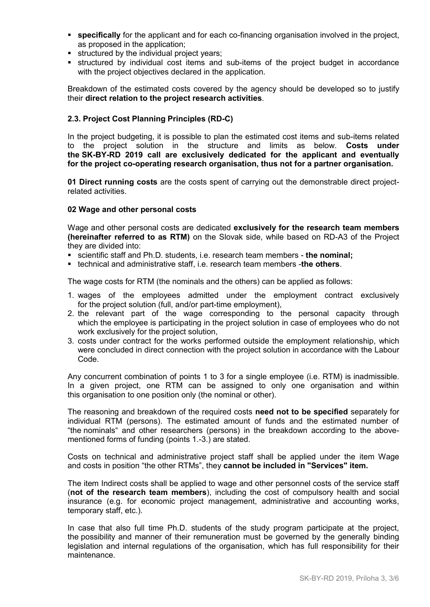- **specifically** for the applicant and for each co-financing organisation involved in the project, as proposed in the application;
- **structured by the individual project years;**
- structured by individual cost items and sub-items of the project budget in accordance with the project objectives declared in the application.

Breakdown of the estimated costs covered by the agency should be developed so to justify their **direct relation to the project research activities**.

# **2.3. Project Cost Planning Principles (RD-C)**

In the project budgeting, it is possible to plan the estimated cost items and sub-items related to the project solution in the structure and limits as below. **Costs under the SK-BY-RD 2019 call are exclusively dedicated for the applicant and eventually for the project co-operating research organisation, thus not for a partner organisation.**

**01 Direct running costs** are the costs spent of carrying out the demonstrable direct projectrelated activities.

## **02 Wage and other personal costs**

Wage and other personal costs are dedicated **exclusively for the research team members (hereinafter referred to as RTM)** on the Slovak side, while based on RD-A3 of the Project they are divided into:

- scientific staff and Ph.D. students, i.e. research team members **the nominal;**
- technical and administrative staff, i.e. research team members -**the others**.

The wage costs for RTM (the nominals and the others) can be applied as follows:

- 1. wages of the employees admitted under the employment contract exclusively for the project solution (full, and/or part-time employment),
- 2. the relevant part of the wage corresponding to the personal capacity through which the employee is participating in the project solution in case of employees who do not work exclusively for the project solution,
- 3. costs under contract for the works performed outside the employment relationship, which were concluded in direct connection with the project solution in accordance with the Labour Code.

Any concurrent combination of points 1 to 3 for a single employee (i.e. RTM) is inadmissible. In a given project, one RTM can be assigned to only one organisation and within this organisation to one position only (the nominal or other).

The reasoning and breakdown of the required costs **need not to be specified** separately for individual RTM (persons). The estimated amount of funds and the estimated number of "the nominals" and other researchers (persons) in the breakdown according to the abovementioned forms of funding (points 1.-3.) are stated.

Costs on technical and administrative project staff shall be applied under the item Wage and costs in position "the other RTMs", they **cannot be included in "Services" item.**

The item Indirect costs shall be applied to wage and other personnel costs of the service staff (**not of the research team members**), including the cost of compulsory health and social insurance (e.g. for economic project management, administrative and accounting works, temporary staff, etc.).

In case that also full time Ph.D. students of the study program participate at the project, the possibility and manner of their remuneration must be governed by the generally binding legislation and internal regulations of the organisation, which has full responsibility for their maintenance.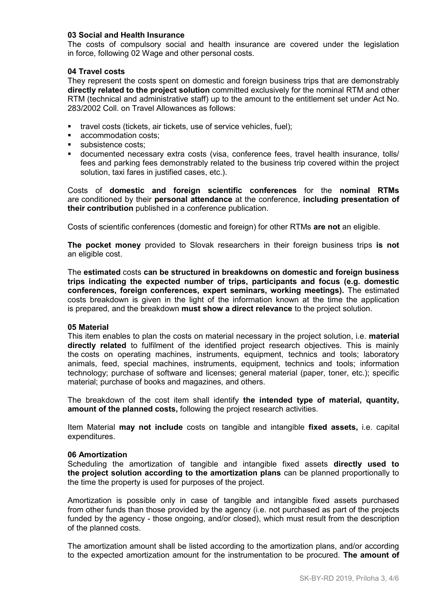### **03 Social and Health Insurance**

The costs of compulsory social and health insurance are covered under the legislation in force, following 02 Wage and other personal costs.

#### **04 Travel costs**

They represent the costs spent on domestic and foreign business trips that are demonstrably **directly related to the project solution** committed exclusively for the nominal RTM and other RTM (technical and administrative staff) up to the amount to the entitlement set under Act No. 283/2002 Coll. on Travel Allowances as follows:

- travel costs (tickets, air tickets, use of service vehicles, fuel);
- accommodation costs:
- **subsistence costs;**
- documented necessary extra costs (visa, conference fees, travel health insurance, tolls/ fees and parking fees demonstrably related to the business trip covered within the project solution, taxi fares in justified cases, etc.).

Costs of **domestic and foreign scientific conferences** for the **nominal RTMs** are conditioned by their **personal attendance** at the conference, **including presentation of their contribution** published in a conference publication.

Costs of scientific conferences (domestic and foreign) for other RTMs **are not** an eligible.

**The pocket money** provided to Slovak researchers in their foreign business trips **is not** an eligible cost.

The **estimated** costs **can be structured in breakdowns on domestic and foreign business trips indicating the expected number of trips, participants and focus (e.g. domestic conferences, foreign conferences, expert seminars, working meetings).** The estimated costs breakdown is given in the light of the information known at the time the application is prepared, and the breakdown **must show a direct relevance** to the project solution.

#### **05 Material**

This item enables to plan the costs on material necessary in the project solution, i.e. **material directly related** to fulfilment of the identified project research objectives. This is mainly the costs on operating machines, instruments, equipment, technics and tools; laboratory animals, feed, special machines, instruments, equipment, technics and tools; information technology; purchase of software and licenses; general material (paper, toner, etc.); specific material; purchase of books and magazines, and others.

The breakdown of the cost item shall identify **the intended type of material, quantity, amount of the planned costs,** following the project research activities.

Item Material **may not include** costs on tangible and intangible **fixed assets,** i.e. capital expenditures.

#### **06 Amortization**

Scheduling the amortization of tangible and intangible fixed assets **directly used to the project solution according to the amortization plans** can be planned proportionally to the time the property is used for purposes of the project.

Amortization is possible only in case of tangible and intangible fixed assets purchased from other funds than those provided by the agency (i.e. not purchased as part of the projects funded by the agency - those ongoing, and/or closed), which must result from the description of the planned costs.

The amortization amount shall be listed according to the amortization plans, and/or according to the expected amortization amount for the instrumentation to be procured. **The amount of**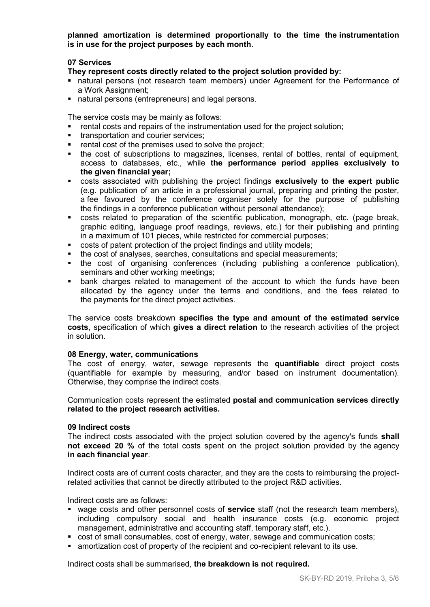**planned amortization is determined proportionally to the time the instrumentation is in use for the project purposes by each month**.

## **07 Services**

**They represent costs directly related to the project solution provided by:**

- natural persons (not research team members) under Agreement for the Performance of a Work Assignment;
- natural persons (entrepreneurs) and legal persons.

The service costs may be mainly as follows:

- rental costs and repairs of the instrumentation used for the project solution;
- **transportation and courier services:**
- **Fig. 2** rental cost of the premises used to solve the project;
- the cost of subscriptions to magazines, licenses, rental of bottles, rental of equipment, access to databases, etc., while **the performance period applies exclusively to the given financial year;**
- costs associated with publishing the project findings **exclusively to the expert public** (e.g. publication of an article in a professional journal, preparing and printing the poster, a fee favoured by the conference organiser solely for the purpose of publishing the findings in a conference publication without personal attendance);
- costs related to preparation of the scientific publication, monograph, etc. (page break, graphic editing, language proof readings, reviews, etc.) for their publishing and printing in a maximum of 101 pieces, while restricted for commercial purposes;
- costs of patent protection of the project findings and utility models;
- the cost of analyses, searches, consultations and special measurements;
- the cost of organising conferences (including publishing a conference publication), seminars and other working meetings;
- bank charges related to management of the account to which the funds have been allocated by the agency under the terms and conditions, and the fees related to the payments for the direct project activities.

The service costs breakdown **specifies the type and amount of the estimated service costs**, specification of which **gives a direct relation** to the research activities of the project in solution.

#### **08 Energy, water, communications**

The cost of energy, water, sewage represents the **quantifiable** direct project costs (quantifiable for example by measuring, and/or based on instrument documentation). Otherwise, they comprise the indirect costs.

Communication costs represent the estimated **postal and communication services directly related to the project research activities.**

#### **09 Indirect costs**

The indirect costs associated with the project solution covered by the agency's funds **shall not exceed 20 %** of the total costs spent on the project solution provided by the agency **in each financial year**.

Indirect costs are of current costs character, and they are the costs to reimbursing the projectrelated activities that cannot be directly attributed to the project R&D activities.

Indirect costs are as follows:

- wage costs and other personnel costs of **service** staff (not the research team members), including compulsory social and health insurance costs (e.g. economic project management, administrative and accounting staff, temporary staff, etc.).
- cost of small consumables, cost of energy, water, sewage and communication costs;
- amortization cost of property of the recipient and co-recipient relevant to its use.

Indirect costs shall be summarised, **the breakdown is not required.**